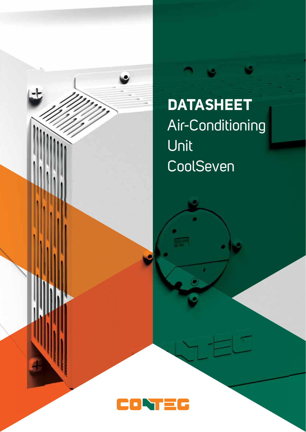

**DATASHEET** Air-Conditioning Unit CoolSeven

ف

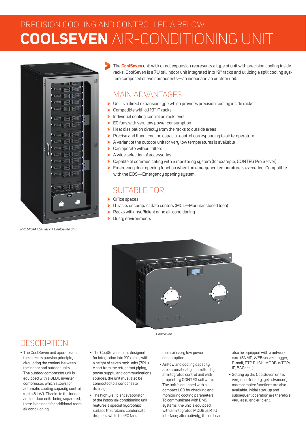# PRECISION COOLING AND CONTROLLED AIRFLOW **COOLSEVEN** AIR-CONDITIONING UNIT



*PREMIUM RSF rack + CoolSeven unit*

The **CoolSeven** unit with direct expansion represents a tupe of unit with precision cooling inside racks. CoolSeven is a 7U tall indoor unit integrated into 19" racks and utilizing a split cooling sustem composed of two components—an indoor and an outdoor unit.

## MAIN ADVANTAGES

- Unit is a direct expansion type which provides precision cooling inside racks
- Compatible with all 19" IT racks
- Individual cooling control on rack level
- **EC** fans with very low power consumption
- Heat dissipation directly from the racks to outside areas Š
- S Precise and fluent cooling capacity control corresponding to air temperature
- A variant of the outdoor unit for very low temperatures is available
- > Can operate without filters
- A wide selection of accessories
- Capable of communicating with a monitoring system (for example, CONTEG Pro Server) s
- **Emergency door opening function when the emergency temperature is exceeded. Compatible** with the EOS—Emergency opening system.

## SUITABLE FOR

- > Office spaces
- IT racks or compact data centers (MCL—Modular closed loop)
- $\blacktriangleright$  Racks with insufficient or no air-conditioning
- $\blacktriangleright$ Dusty environments



*CoolSeven*

### **DESCRIPTION**

- The CoolSeven unit operates on the direct expansion principle, circulating the coolant between the indoor and outdoor units. The outdoor compressor unit is equipped with a BLDC inverter compressor, which allows for automatic cooling capacity control (up to 8 kW). Thanks to the indoor and outdoor units being separated, there is no need for additional room air conditioning.
- The CoolSeven unit is designed for integration into 19" racks, with a height of seven rack units (7RU). Apart from the refrigerant piping, power supply and communications sources, the unit must also be connected to a condensate drainage.
- The highly efficient evaporator of the indoor air-conditioning unit features a special hydrophilic surface that retains condensate droplets, while the EC fans

maintain very low power consumption.

• Airflow and cooling capacity are automatically controlled by an integrated control unit with proprietary CONTEG software. The unit is equipped with a compact LCD for checking and monitoring cooling parameters. To communicate with BMS systems, the unit is equipped with an integrated MODBus RTU interface; alternatively, the unit can also be equipped with a network card (SNMP, WEB server, Logger, E-mail, FTP PUSH, MODBus TCP/ IP, BACnet…).

• Setting up the CoolSeven unit is very user-friendly, yet advanced, more complex functions are also available. Initial start-up and subsequent operation are therefore very easy and efficient.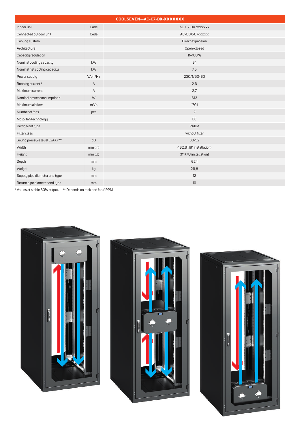| COOLSEVEN-AC-C7-DX-XXXXXXX    |         |                          |
|-------------------------------|---------|--------------------------|
| Indoor unit                   | Code    | AC-C7-DX-xxxxxxx         |
| Connected outdoor unit        | Code    | AC-ODX-07-xxxxx          |
| Cooling system                |         | Direct expansion         |
| Architecture                  |         | Open/closed              |
| Capacity regulation           |         | 11-100 %                 |
| Nominal cooling capacity      | kW      | 8,1                      |
| Nominal net cooling capacity  | kW      | 7,5                      |
| Power supply                  | V/ph/Hz | 230/1/50-60              |
| Running current *             | A       | 2,6                      |
| Maximum current               | A       | 2,7                      |
| Nominal power consumption *   | W       | 613                      |
| Maximum air flow              | $m^3/h$ | 1791                     |
| Number of fans                | pcs     | 2                        |
| Motor fan technology          |         | EC                       |
| Refrigerant type              |         | <b>R410A</b>             |
| Filter class                  |         | without filter           |
| Sound pressure level Lw(A) ** | dB      | $30 - 52$                |
| Width                         | mm(in)  | 482,6 (19" installation) |
| Height                        | mm(U)   | 311 (7U installation)    |
| Depth                         | mm      | 624                      |
| Weight                        | kg      | 29,8                     |
| Supply pipe diameter and type | mm      | 12                       |
| Return pipe diameter and type | mm      | 16                       |

\* Values at stable 80% output. \*\* Depends on rack and fans' RPM.





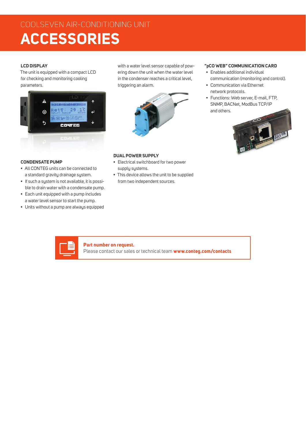## COOLSEVEN AIR-CONDITIONING UNIT **ACCESSORIES**

### **LCD DISPLAY**

The unit is equipped with a compact LCD for checking and monitoring cooling parameters.



**CONDENSATE PUMP**

- All CONTEG units can be connected to a standard gravity drainage system.
- If such a system is not available, it is possible to drain water with a condensate pump.
- Each unit equipped with a pump includes a water level sensor to start the pump.
- Units without a pump are always equipped

with a water level sensor capable of powering down the unit when the water level in the condenser reaches a critical level, triggering an alarm.



### **"pCO WEB" COMMUNICATION CARD**

- Enables additional individual communication (monitoring and control).
- Communication via Ethernet network protocols.
- Functions: Web server, E-mail, FTP, SNMP, BACNet, ModBus TCP/IP and others.



#### **DUAL POWER SUPPLY**

- Electrical switchboard for two power supply systems.
- This device allows the unit to be supplied from two independent sources.



### **Part number on request.**

Please contact our sales or technical team **www.conteg.com/contacts**